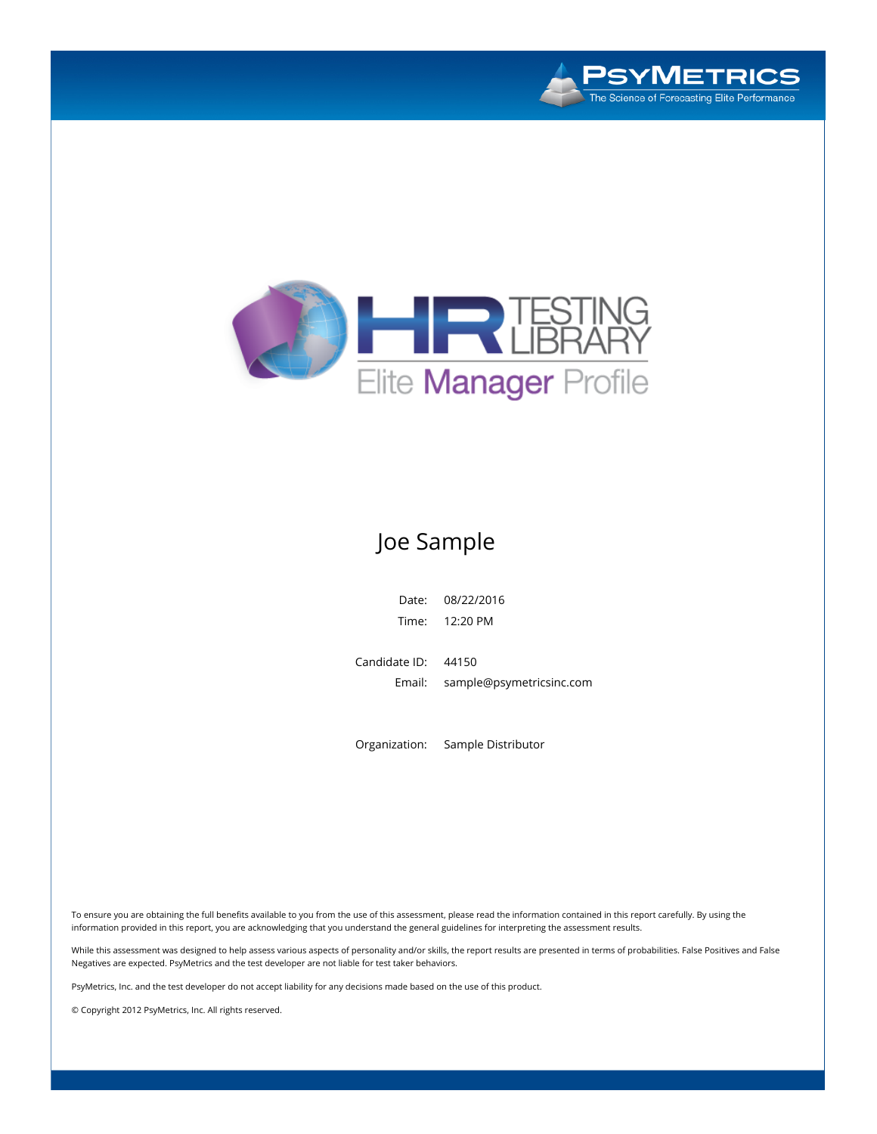



# Joe Sample

Date: 08/22/2016 Time: 12:20 PM

Candidate ID: 44150 Email: sample@psymetricsinc.com

Organization: Sample Distributor

To ensure you are obtaining the full benefits available to you from the use of this assessment, please read the information contained in this report carefully. By using the information provided in this report, you are acknowledging that you understand the general guidelines for interpreting the assessment results.

While this assessment was designed to help assess various aspects of personality and/or skills, the report results are presented in terms of probabilities. False Positives and False Negatives are expected. PsyMetrics and the test developer are not liable for test taker behaviors.

PsyMetrics, Inc. and the test developer do not accept liability for any decisions made based on the use of this product.

© Copyright 2012 PsyMetrics, Inc. All rights reserved.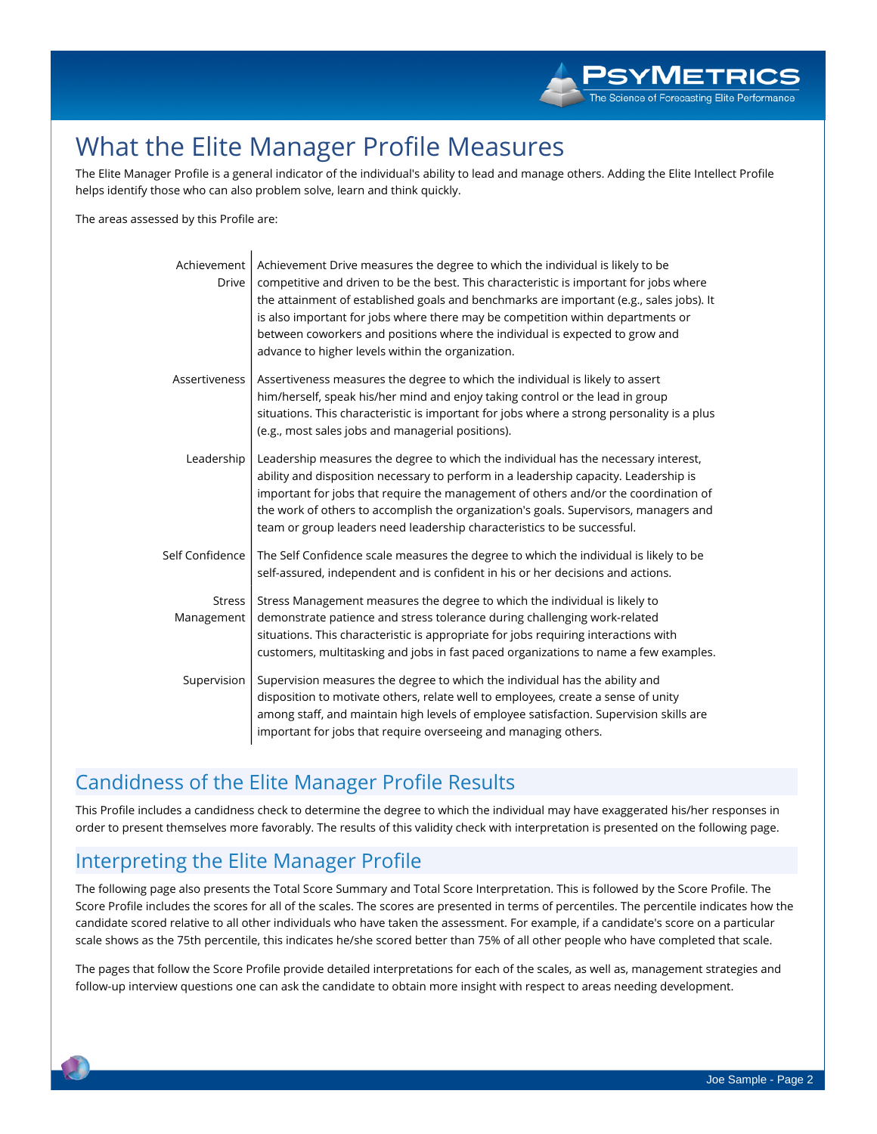# **What the Elite Manager Profile Measures**

The Elite Manager Profile is a general indicator of the individual's ability to lead and manage others. Adding the Elite Intellect Profile **helps identify those who can also problem solve, learn and think quickly.**

**The areas assessed by this Profile are:**

| Achievement<br><b>Drive</b> | Achievement Drive measures the degree to which the individual is likely to be<br>competitive and driven to be the best. This characteristic is important for jobs where<br>the attainment of established goals and benchmarks are important (e.g., sales jobs). It<br>is also important for jobs where there may be competition within departments or<br>between coworkers and positions where the individual is expected to grow and<br>advance to higher levels within the organization. |
|-----------------------------|--------------------------------------------------------------------------------------------------------------------------------------------------------------------------------------------------------------------------------------------------------------------------------------------------------------------------------------------------------------------------------------------------------------------------------------------------------------------------------------------|
| Assertiveness               | Assertiveness measures the degree to which the individual is likely to assert<br>him/herself, speak his/her mind and enjoy taking control or the lead in group<br>situations. This characteristic is important for jobs where a strong personality is a plus<br>(e.g., most sales jobs and managerial positions).                                                                                                                                                                          |
| Leadership                  | Leadership measures the degree to which the individual has the necessary interest,<br>ability and disposition necessary to perform in a leadership capacity. Leadership is<br>important for jobs that require the management of others and/or the coordination of<br>the work of others to accomplish the organization's goals. Supervisors, managers and<br>team or group leaders need leadership characteristics to be successful.                                                       |
| Self Confidence             | The Self Confidence scale measures the degree to which the individual is likely to be<br>self-assured, independent and is confident in his or her decisions and actions.                                                                                                                                                                                                                                                                                                                   |
| Stress<br>Management        | Stress Management measures the degree to which the individual is likely to<br>demonstrate patience and stress tolerance during challenging work-related<br>situations. This characteristic is appropriate for jobs requiring interactions with<br>customers, multitasking and jobs in fast paced organizations to name a few examples.                                                                                                                                                     |
| Supervision                 | Supervision measures the degree to which the individual has the ability and<br>disposition to motivate others, relate well to employees, create a sense of unity<br>among staff, and maintain high levels of employee satisfaction. Supervision skills are<br>important for jobs that require overseeing and managing others.                                                                                                                                                              |

# **Candidness of the Elite Manager Profile Results**

This Profile includes a candidness check to determine the degree to which the individual may have exaggerated his/her responses in order to present themselves more favorably. The results of this validity check with interpretation is presented on the following page.

# **Interpreting the Elite Manager Profile**

The following page also presents the Total Score Summary and Total Score Interpretation. This is followed by the Score Profile. The Score Profile includes the scores for all of the scales. The scores are presented in terms of percentiles. The percentile indicates how the candidate scored relative to all other individuals who have taken the assessment. For example, if a candidate's score on a particular scale shows as the 75th percentile, this indicates he/she scored better than 75% of all other people who have completed that scale.

The pages that follow the Score Profile provide detailed interpretations for each of the scales, as well as, management strategies and follow-up interview questions one can ask the candidate to obtain more insight with respect to areas needing development.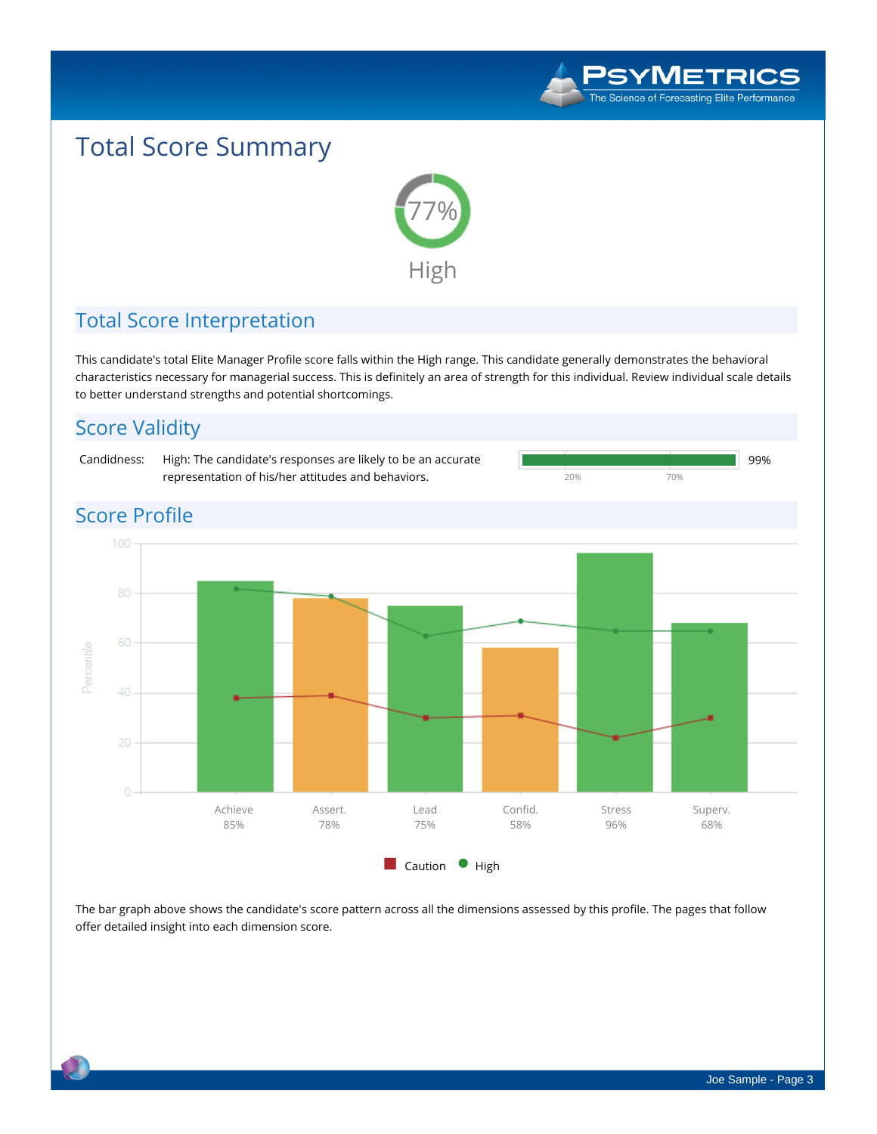

**20% 70%**

# **Total Score Summary**



# **Total Score Interpretation**

This candidate's total Elite Manager Profile score falls within the High range. This candidate generally demonstrates the behavioral characteristics necessary for managerial success. This is definitely an area of strength for this individual. Review individual scale details **to better understand strengths and potential shortcomings.**

# **Score Validity**

**Candidness: High: The candidate's responses are likely to be an accurate representation of his/her attitudes and behaviors.**



### The bar graph above shows the candidate's score pattern across all the dimensions assessed by this profile. The pages that follow **offer detailed insight into each dimension score.**

 **99%**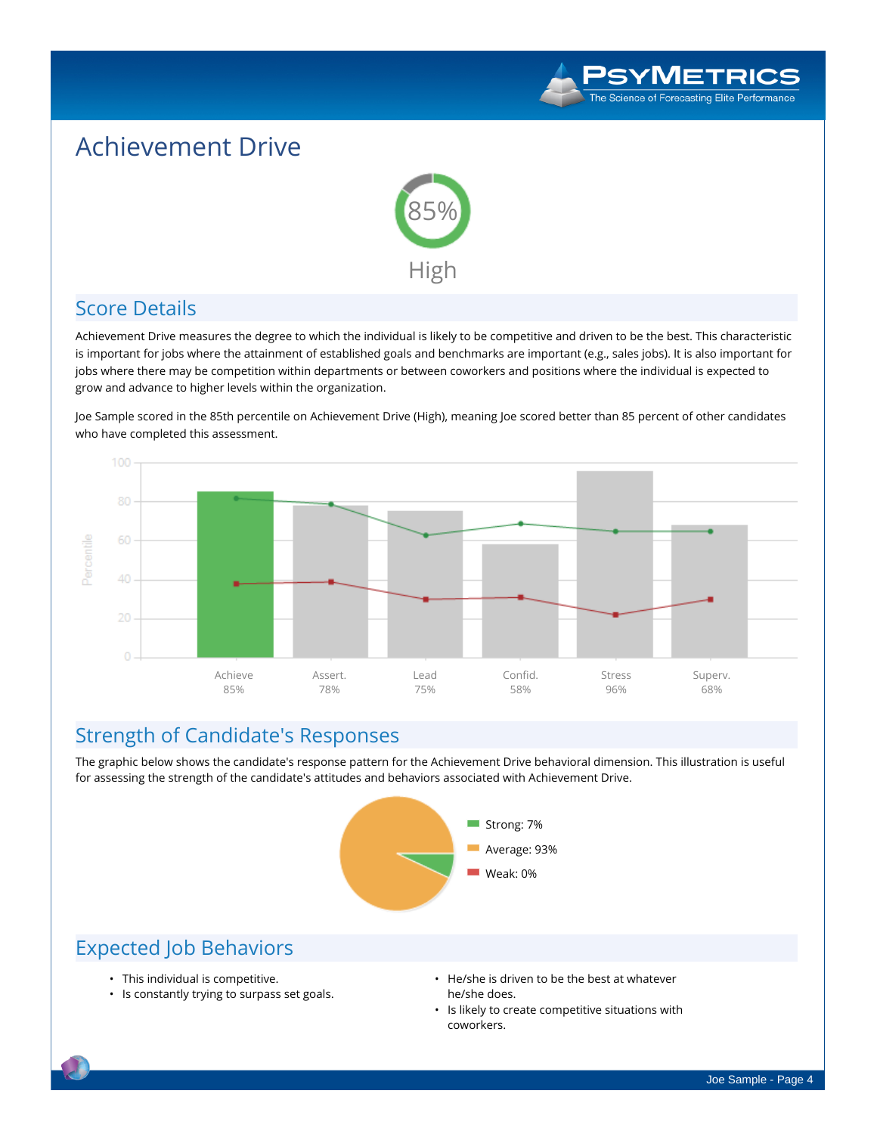

# **Achievement Drive**



## **Score Details**

Achievement Drive measures the degree to which the individual is likely to be competitive and driven to be the best. This characteristic is important for jobs where the attainment of established goals and benchmarks are important (e.g., sales jobs). It is also important for jobs where there may be competition within departments or between coworkers and positions where the individual is expected to **grow and advance to higher levels within the organization.**

Joe Sample scored in the 85th percentile on Achievement Drive (High), meaning Joe scored better than 85 percent of other candidates **who have completed this assessment.**



### **Strength of Candidate's Responses**

The graphic below shows the candidate's response pattern for the Achievement Drive behavioral dimension. This illustration is useful **for assessing the strength of the candidate's attitudes and behaviors associated with Achievement Drive.**



- **• This individual is competitive.**
- **• Is constantly trying to surpass set goals.**
- **• He/she is driven to be the best at whatever he/she does.**
- **• Is likely to create competitive situations with coworkers.**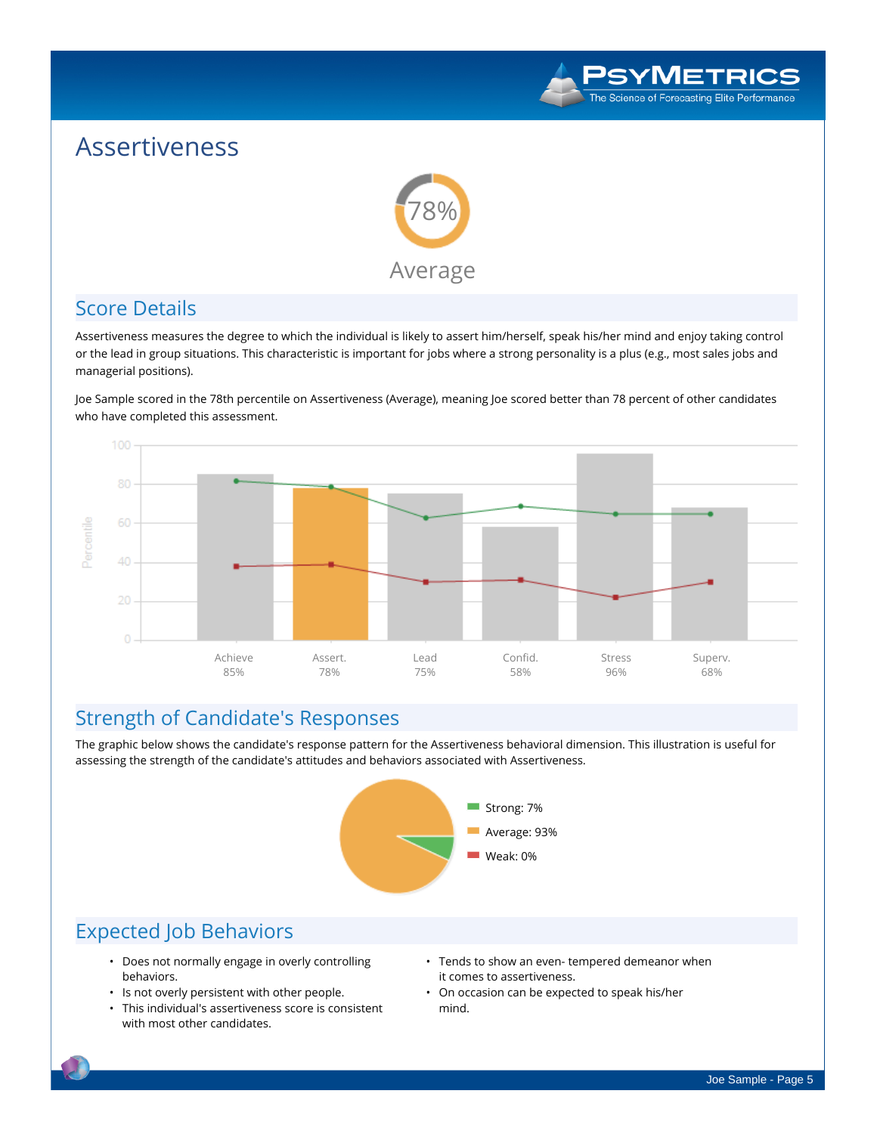

# **Assertiveness**



## **Score Details**

Assertiveness measures the degree to which the individual is likely to assert him/herself, speak his/her mind and enjoy taking control or the lead in group situations. This characteristic is important for jobs where a strong personality is a plus (e.g., most sales jobs and **managerial positions).**

Joe Sample scored in the 78th percentile on Assertiveness (Average), meaning Joe scored better than 78 percent of other candidates **who have completed this assessment.**



## **Strength of Candidate's Responses**

The graphic below shows the candidate's response pattern for the Assertiveness behavioral dimension. This illustration is useful for **assessing the strength of the candidate's attitudes and behaviors associated with Assertiveness.**



- **• Does not normally engage in overly controlling behaviors.**
- **• Is not overly persistent with other people.**
- **• This individual's assertiveness score is consistent with most other candidates.**
- **• Tends to show an even- tempered demeanor when it comes to assertiveness.**
- **• On occasion can be expected to speak his/her mind.**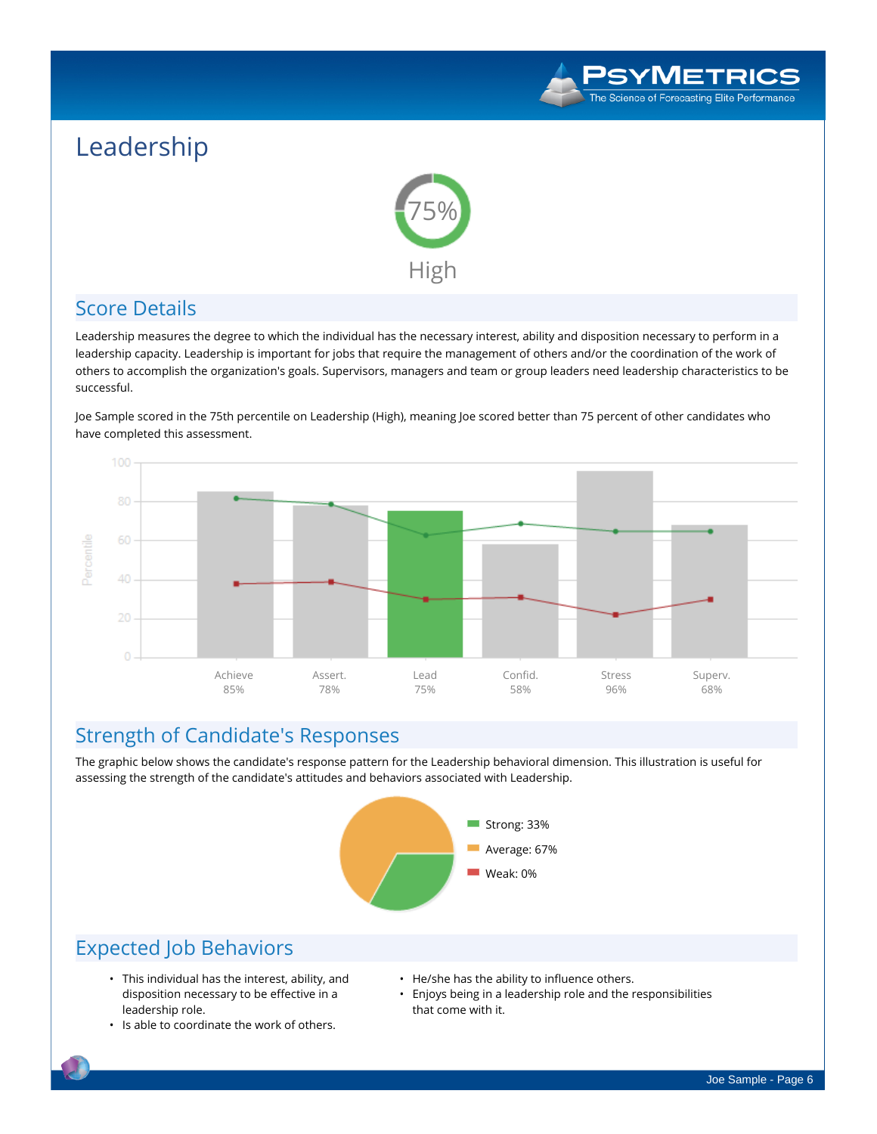

# **Leadership**



## **Score Details**

Leadership measures the degree to which the individual has the necessary interest, ability and disposition necessary to perform in a leadership capacity. Leadership is important for jobs that require the management of others and/or the coordination of the work of others to accomplish the organization's goals. Supervisors, managers and team or group leaders need leadership characteristics to be **successful.**

Joe Sample scored in the 75th percentile on Leadership (High), meaning Joe scored better than 75 percent of other candidates who **have completed this assessment.**



### **Strength of Candidate's Responses**

The graphic below shows the candidate's response pattern for the Leadership behavioral dimension. This illustration is useful for **assessing the strength of the candidate's attitudes and behaviors associated with Leadership.**



- **• This individual has the interest, ability, and disposition necessary to be effective in a leadership role.**
- **• Is able to coordinate the work of others.**
- **• He/she has the ability to influence others.**
- **• Enjoys being in a leadership role and the responsibilities that come with it.**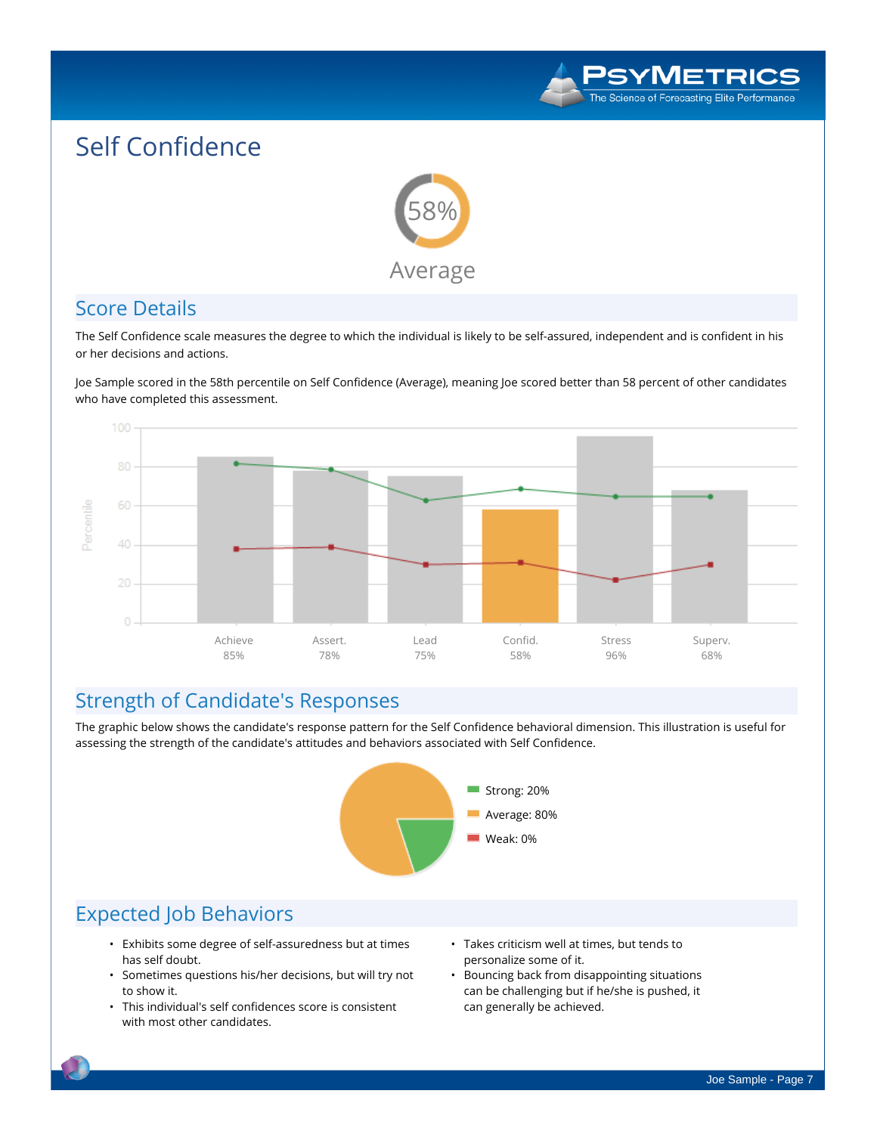

# **Self Confidence**



### **Score Details**

The Self Confidence scale measures the degree to which the individual is likely to be self-assured, independent and is confident in his **or her decisions and actions.**

Joe Sample scored in the 58th percentile on Self Confidence (Average), meaning Joe scored better than 58 percent of other candidates **who have completed this assessment.**



### **Strength of Candidate's Responses**

The graphic below shows the candidate's response pattern for the Self Confidence behavioral dimension. This illustration is useful for **assessing the strength of the candidate's attitudes and behaviors associated with Self Confidence.**



- **• Exhibits some degree of self-assuredness but at times has self doubt.**
- **• Sometimes questions his/her decisions, but will try not to show it.**
- **• This individual's self confidences score is consistent with most other candidates.**
- **• Takes criticism well at times, but tends to personalize some of it.**
- **• Bouncing back from disappointing situations can be challenging but if he/she is pushed, it can generally be achieved.**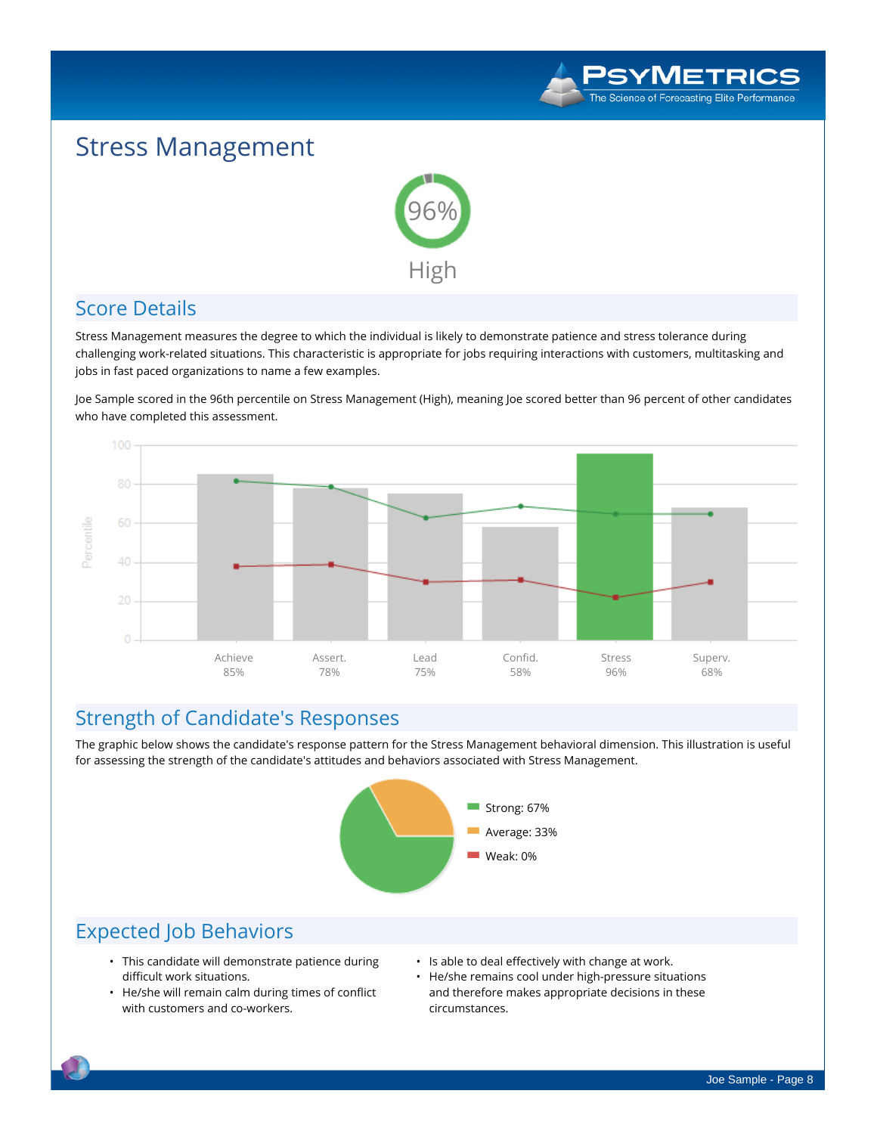

# **Stress Management**



## **Score Details**

Stress Management measures the degree to which the individual is likely to demonstrate patience and stress tolerance during challenging work-related situations. This characteristic is appropriate for jobs requiring interactions with customers, multitasking and **jobs in fast paced organizations to name a few examples.**

Joe Sample scored in the 96th percentile on Stress Management (High), meaning Joe scored better than 96 percent of other candidates **who have completed this assessment.**



## **Strength of Candidate's Responses**

The graphic below shows the candidate's response pattern for the Stress Management behavioral dimension. This illustration is useful **for assessing the strength of the candidate's attitudes and behaviors associated with Stress Management.**



- **• This candidate will demonstrate patience during difficult work situations.**
- **• He/she will remain calm during times of conflict with customers and co-workers.**
- **• Is able to deal effectively with change at work.**
- **• He/she remains cool under high-pressure situations and therefore makes appropriate decisions in these circumstances.**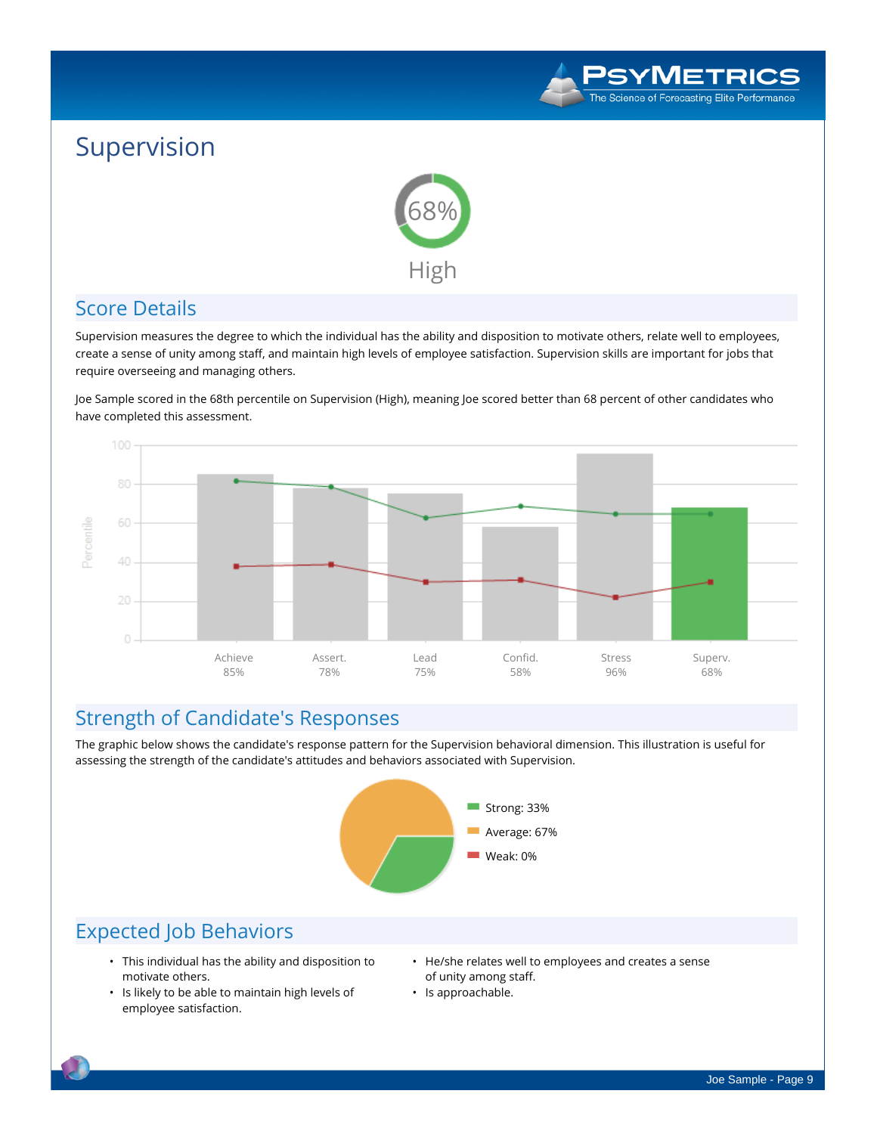

# **Supervision**



## **Score Details**

Supervision measures the degree to which the individual has the ability and disposition to motivate others, relate well to employees, create a sense of unity among staff, and maintain high levels of employee satisfaction. Supervision skills are important for jobs that **require overseeing and managing others.**

Joe Sample scored in the 68th percentile on Supervision (High), meaning Joe scored better than 68 percent of other candidates who **have completed this assessment.**



## **Strength of Candidate's Responses**

The graphic below shows the candidate's response pattern for the Supervision behavioral dimension. This illustration is useful for **assessing the strength of the candidate's attitudes and behaviors associated with Supervision.**



- **• This individual has the ability and disposition to motivate others.**
- **• Is likely to be able to maintain high levels of employee satisfaction.**
- **• He/she relates well to employees and creates a sense of unity among staff.**
- **• Is approachable.**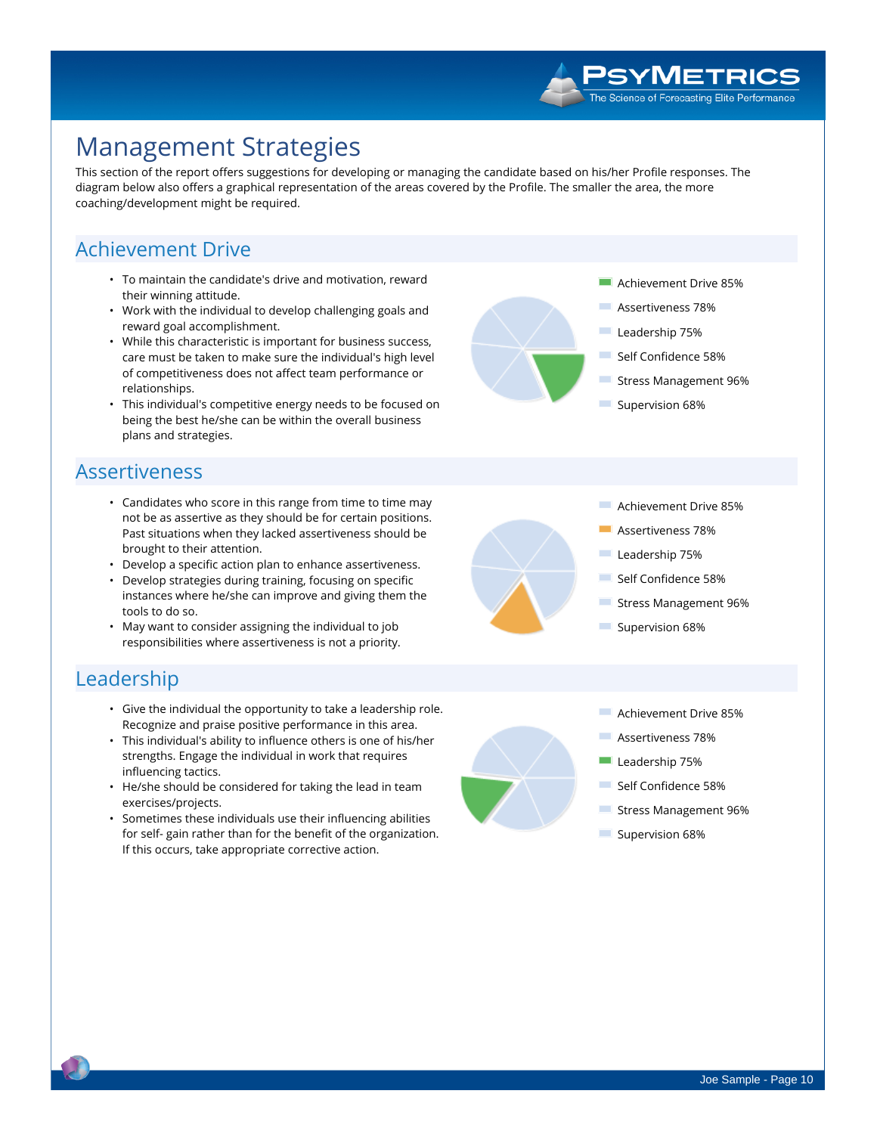# **Management Strategies**

This section of the report offers suggestions for developing or managing the candidate based on his/her Profile responses. The diagram below also offers a graphical representation of the areas covered by the Profile. The smaller the area, the more **coaching/development might be required.**

## **Achievement Drive**

- **• To maintain the candidate's drive and motivation, reward their winning attitude.**
- **• Work with the individual to develop challenging goals and reward goal accomplishment.**
- **• While this characteristic is important for business success, care must be taken to make sure the individual's high level of competitiveness does not affect team performance or relationships.**
- **• This individual's competitive energy needs to be focused on being the best he/she can be within the overall business plans and strategies.**

## **Assertiveness**

- **• Candidates who score in this range from time to time may not be as assertive as they should be for certain positions. Past situations when they lacked assertiveness should be brought to their attention.**
- **• Develop a specific action plan to enhance assertiveness.**
- **• Develop strategies during training, focusing on specific instances where he/she can improve and giving them the tools to do so.**
- **• May want to consider assigning the individual to job responsibilities where assertiveness is not a priority.**

### **Leadership**

- **• Give the individual the opportunity to take a leadership role. Recognize and praise positive performance in this area.**
- **• This individual's ability to influence others is one of his/her strengths. Engage the individual in work that requires influencing tactics.**
- **• He/she should be considered for taking the lead in team exercises/projects.**
- **• Sometimes these individuals use their influencing abilities for self- gain rather than for the benefit of the organization. If this occurs, take appropriate corrective action.**

**Achievement Drive 85%**

**Achievement Drive 85% Assertiveness 78% Leadership 75% Self Confidence 58% Stress Management 96%**

**SYMETRICS** The Science of Forecasting Elite Performance

**Assertiveness 78%**

**Supervision 68%**

- **Leadership 75%**
- **Self Confidence 58%**
- **Stress Management 96%**
- **Supervision 68%**



- **College Achievement Drive 85%**
- **Assertiveness 78%**
- **Leadership 75%**
- **Self Confidence 58%**
- **Stress Management 96%**
- **Supervision 68%**

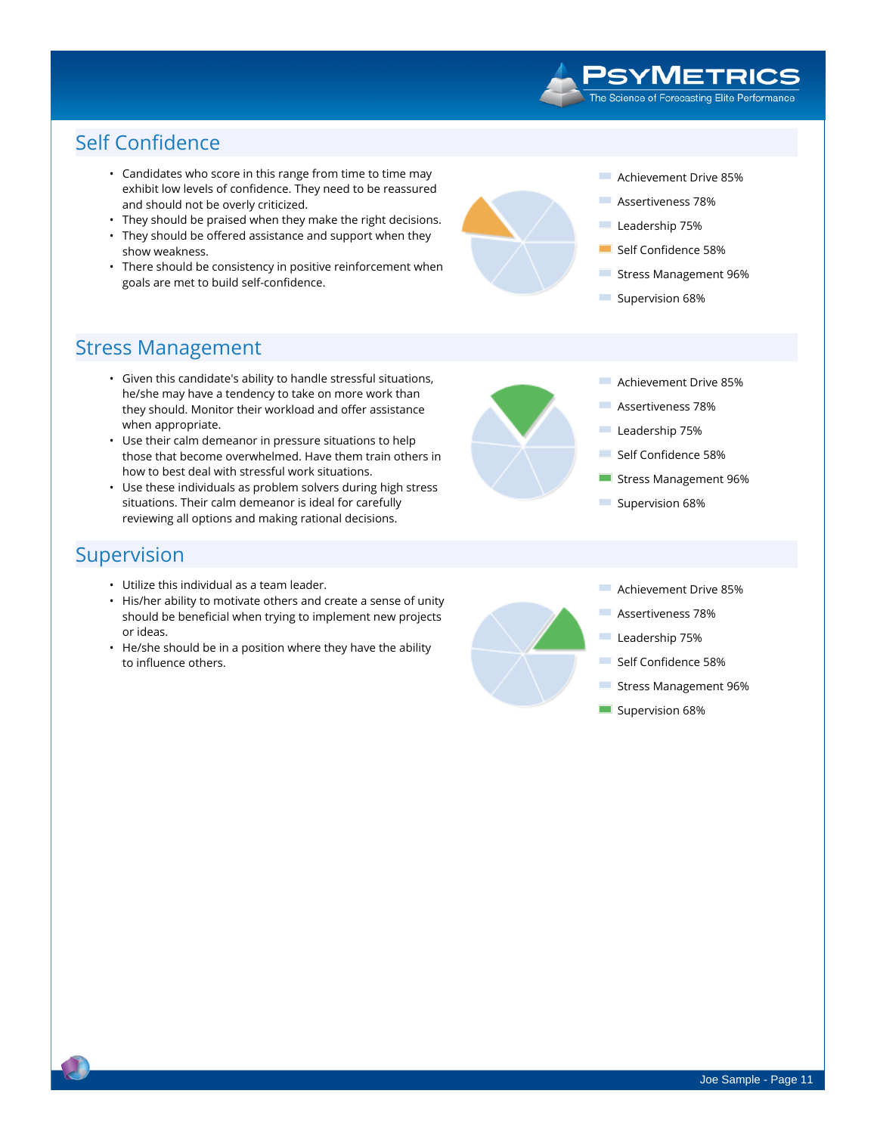### PSYMETRICS The Science of Forecasting Elite Performance

# **Self Confidence**

- **• Candidates who score in this range from time to time may exhibit low levels of confidence. They need to be reassured and should not be overly criticized.**
- **• They should be praised when they make the right decisions.**
- **• They should be offered assistance and support when they show weakness.**
- **• There should be consistency in positive reinforcement when goals are met to build self-confidence.**

- **COL Achievement Drive 85%**
- **Assertiveness 78%**
- **Leadership 75%**
- **Self Confidence 58%**
- m. **Stress Management 96%**

**Achievement Drive 85% Assertiveness 78% Leadership 75% Self Confidence 58% Stress Management 96%**

 $\mathcal{L}_{\mathcal{A}}$ **Supervision 68%**

**Supervision 68%**

## **Stress Management**

- **• Given this candidate's ability to handle stressful situations, he/she may have a tendency to take on more work than they should. Monitor their workload and offer assistance when appropriate.**
- **• Use their calm demeanor in pressure situations to help those that become overwhelmed. Have them train others in how to best deal with stressful work situations.**
- **• Use these individuals as problem solvers during high stress situations. Their calm demeanor is ideal for carefully reviewing all options and making rational decisions.**

### **Supervision**

- **• Utilize this individual as a team leader.**
- **• His/her ability to motivate others and create a sense of unity should be beneficial when trying to implement new projects or ideas.**
- **• He/she should be in a position where they have the ability to influence others.**



Joe Sample - Page 11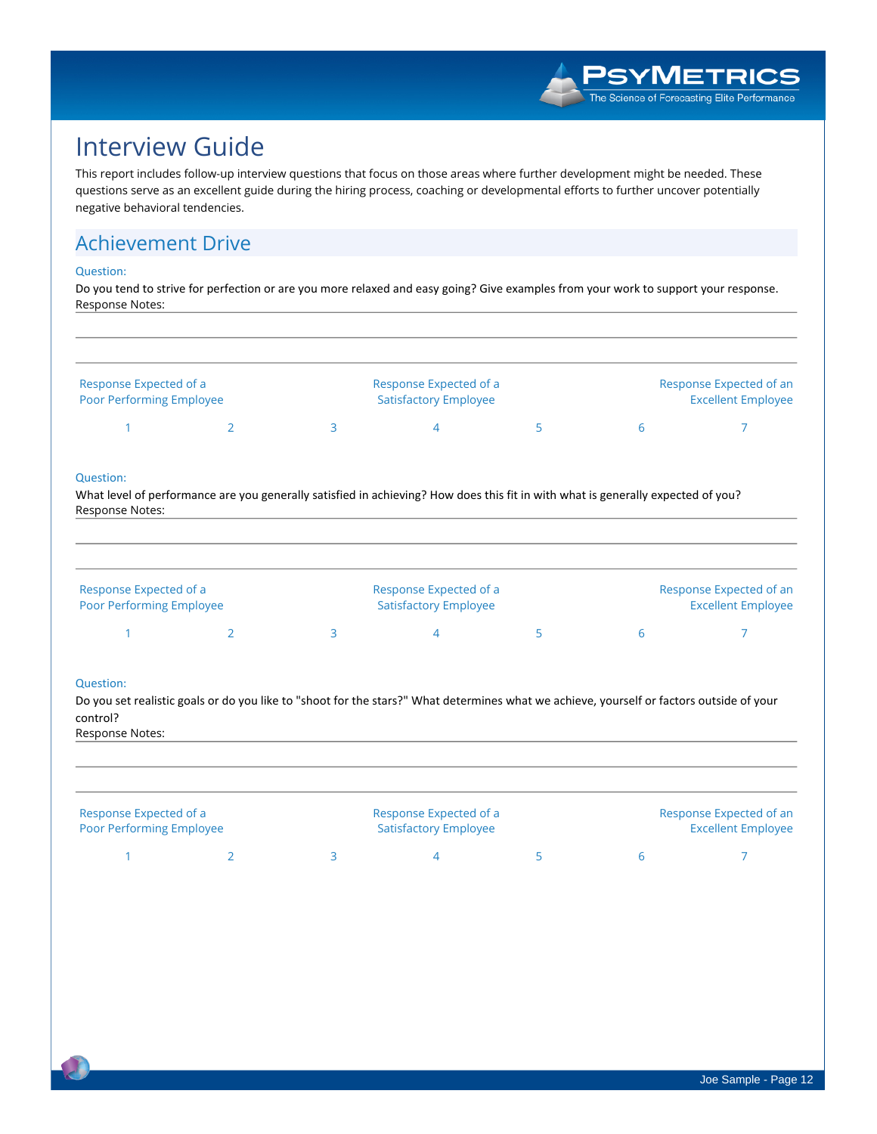

# **Interview Guide**

This report includes follow-up interview questions that focus on those areas where further development might be needed. These questions serve as an excellent guide during the hiring process, coaching or developmental efforts to further uncover potentially **negative behavioral tendencies.**

# **Achievement Drive**

### **Question:**

Do you tend to strive for perfection or are you more relaxed and easy going? Give examples from your work to support your response. **Response Notes:**

| Response Expected of an<br><b>Excellent Employee</b> | Response Expected of a<br><b>Satisfactory Employee</b> |  | Response Expected of a<br><b>Poor Performing Employee</b> |
|------------------------------------------------------|--------------------------------------------------------|--|-----------------------------------------------------------|
|                                                      |                                                        |  |                                                           |

### **Question:**

What level of performance are you generally satisfied in achieving? How does this fit in with what is generally expected of you? **Response Notes:**

| Response Expected of a<br>Poor Performing Employee |  | Response Expected of a<br><b>Satisfactory Employee</b> |  | Response Expected of an<br><b>Excellent Employee</b> |
|----------------------------------------------------|--|--------------------------------------------------------|--|------------------------------------------------------|
|                                                    |  |                                                        |  |                                                      |

### **Question:**

Do you set realistic goals or do you like to "shoot for the stars?" What determines what we achieve, yourself or factors outside of your **control?**

**Response Notes:**

| Response Expected of a<br><b>Poor Performing Employee</b> |  | Response Expected of a<br><b>Satisfactory Employee</b> |  | Response Expected of an<br><b>Excellent Employee</b> |
|-----------------------------------------------------------|--|--------------------------------------------------------|--|------------------------------------------------------|
|                                                           |  |                                                        |  |                                                      |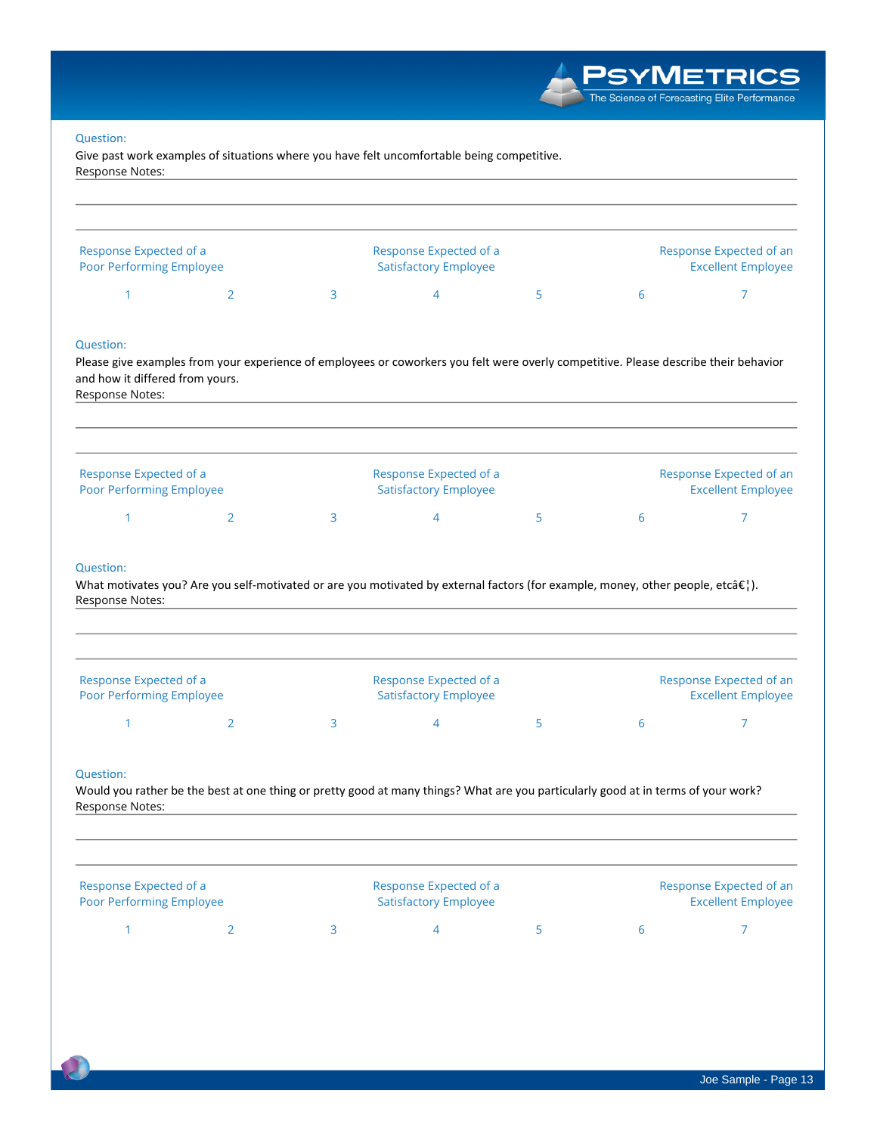**Give past work examples of situations where you have felt uncomfortable being competitive. Response Notes:**

| Response Expected of a<br>Poor Performing Employee |   | Response Expected of a<br><b>Satisfactory Employee</b> | Response Expected of an<br><b>Excellent Employee</b> |  |
|----------------------------------------------------|---|--------------------------------------------------------|------------------------------------------------------|--|
|                                                    | 3 | 4                                                      | ь                                                    |  |

Please give examples from your experience of employees or coworkers you felt were overly competitive. Please describe their behavior **and how it differed from yours. Response Notes:**

| Response Expected of a<br><b>Poor Performing Employee</b> |  | Response Expected of a<br><b>Satisfactory Employee</b> |  | Response Expected of an<br><b>Excellent Employee</b> |
|-----------------------------------------------------------|--|--------------------------------------------------------|--|------------------------------------------------------|
|                                                           |  |                                                        |  |                                                      |

### **Question:**

What motivates you? Are you self-motivated or are you motivated by external factors (for example, money, other people, etc…). **Response Notes:**

| Response Expected of a<br><b>Poor Performing Employee</b> |  | Response Expected of a<br><b>Satisfactory Employee</b> |  | Response Expected of an<br><b>Excellent Employee</b> |
|-----------------------------------------------------------|--|--------------------------------------------------------|--|------------------------------------------------------|
|                                                           |  |                                                        |  |                                                      |

### **Question:**

Would you rather be the best at one thing or pretty good at many things? What are you particularly good at in terms of your work? **Response Notes:**

| Response Expected of a<br><b>Poor Performing Employee</b> |  | Response Expected of a<br><b>Satisfactory Employee</b> | Response Expected of an<br><b>Excellent Employee</b> |  |
|-----------------------------------------------------------|--|--------------------------------------------------------|------------------------------------------------------|--|
|                                                           |  |                                                        |                                                      |  |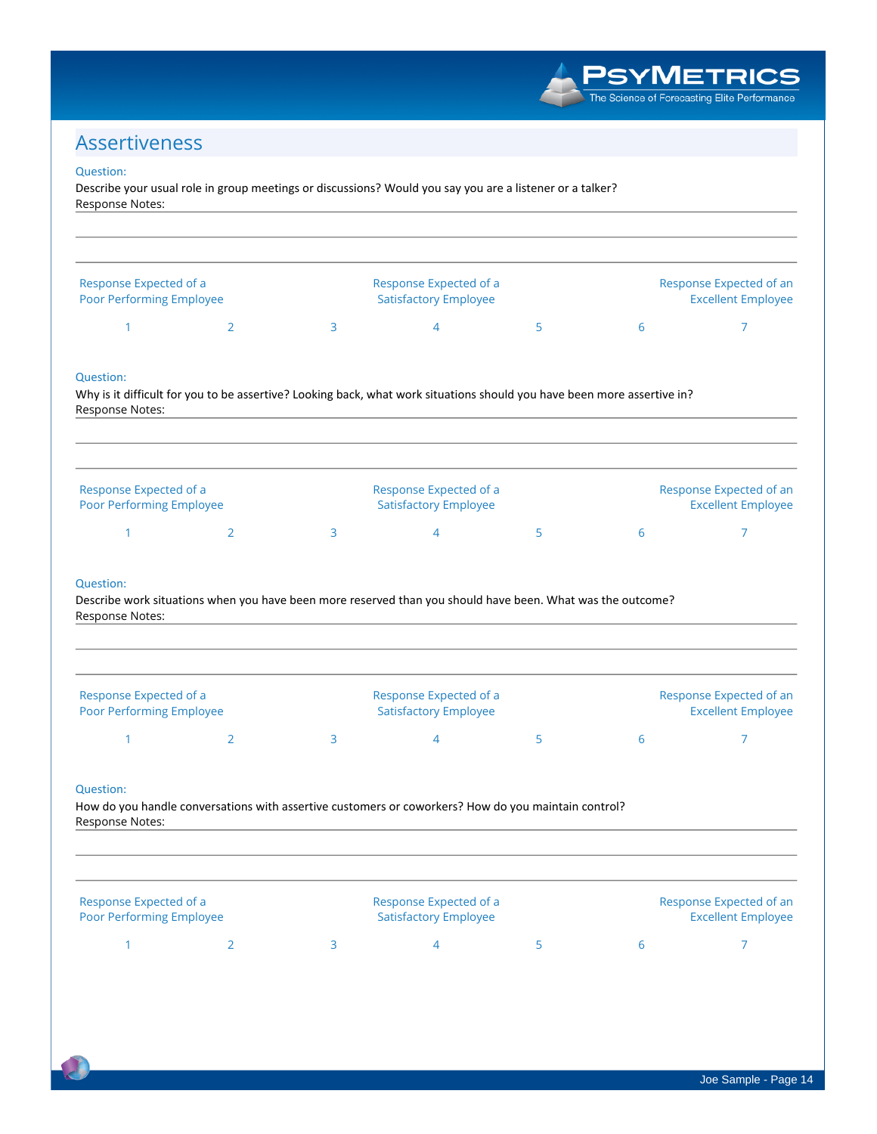**PSYMETRICS** The Science of Forecasting Elite Performance

# **Assertiveness**

### **Question:**

Describe your usual role in group meetings or discussions? Would you say you are a listener or a talker? **Response Notes:**

| Response Expected of a<br>Poor Performing Employee             |                                                                                                                         |   | Response Expected of a                                 |   | Response Expected of an |                                                      |
|----------------------------------------------------------------|-------------------------------------------------------------------------------------------------------------------------|---|--------------------------------------------------------|---|-------------------------|------------------------------------------------------|
|                                                                |                                                                                                                         |   | <b>Satisfactory Employee</b>                           |   |                         | <b>Excellent Employee</b>                            |
| 1                                                              | $\overline{2}$                                                                                                          | 3 | 4                                                      | 5 | 6                       | 7                                                    |
| Question:<br>Response Notes:                                   | Why is it difficult for you to be assertive? Looking back, what work situations should you have been more assertive in? |   |                                                        |   |                         |                                                      |
| Response Expected of a<br><b>Poor Performing Employee</b>      |                                                                                                                         |   | Response Expected of a<br><b>Satisfactory Employee</b> |   |                         | Response Expected of an<br><b>Excellent Employee</b> |
| 1                                                              | $\overline{2}$                                                                                                          | 3 | $\overline{4}$                                         | 5 | 6                       | 7                                                    |
| Question:<br>Response Notes:                                   | Describe work situations when you have been more reserved than you should have been. What was the outcome?              |   |                                                        |   |                         |                                                      |
|                                                                |                                                                                                                         |   | Response Expected of a                                 |   |                         | Response Expected of an                              |
| Response Expected of a<br><b>Poor Performing Employee</b><br>1 | $\overline{2}$                                                                                                          | 3 | <b>Satisfactory Employee</b><br>4                      | 5 | 6                       | <b>Excellent Employee</b><br>7                       |
| Question:<br>Response Notes:                                   | How do you handle conversations with assertive customers or coworkers? How do you maintain control?                     |   |                                                        |   |                         |                                                      |
| Response Expected of a<br>Poor Performing Employee             |                                                                                                                         |   | Response Expected of a<br><b>Satisfactory Employee</b> |   |                         | Response Expected of an<br><b>Excellent Employee</b> |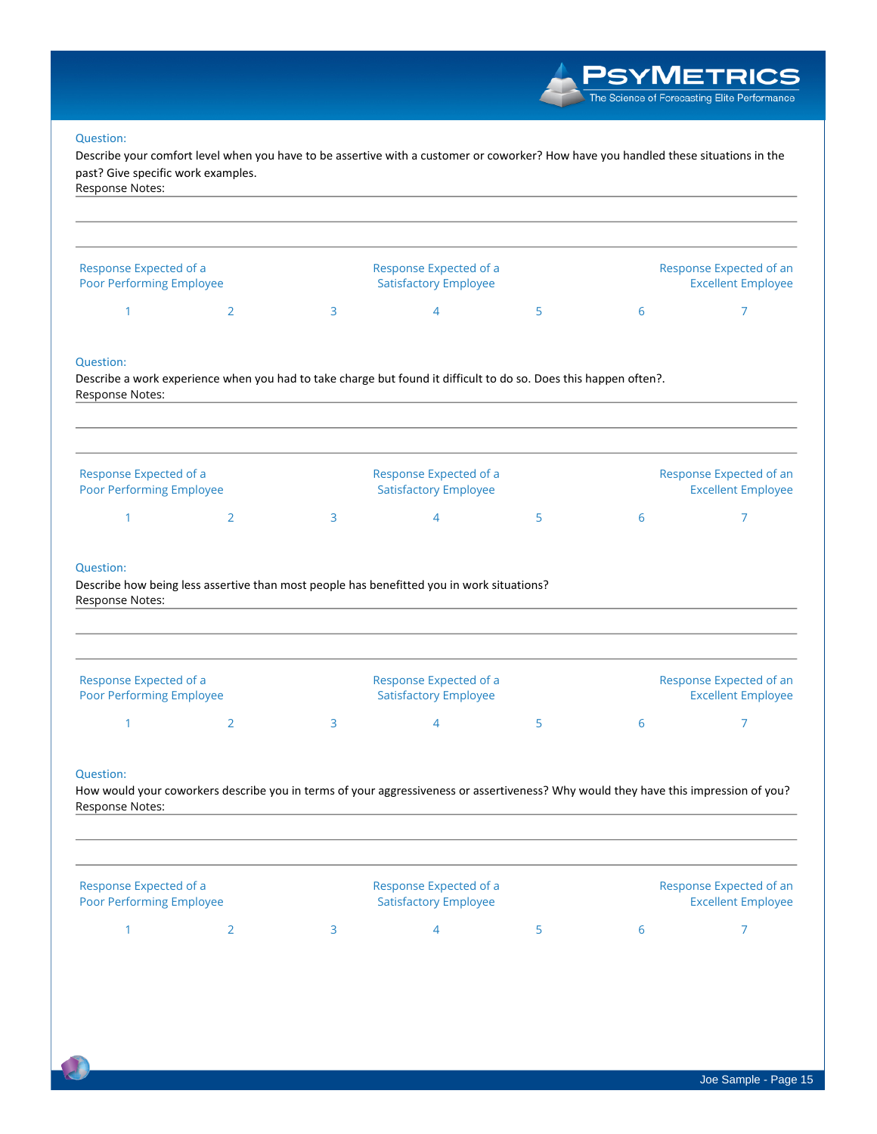/METRICS The Science of Forecasting Elite Performance **Question:** Describe your comfort level when you have to be assertive with a customer or coworker? How have you handled these situations in the **past? Give specific work examples. Response Notes: Response Expected of a Response Expected of a Response Expected of an Poor Performing Employee Satisfactory Employee Excellent Employee 1 2 3 4 5 6 7 Question:** Describe a work experience when you had to take charge but found it difficult to do so. Does this happen often?. **Response Notes: Response Expected of a Response Expected of a Response Expected of an Poor Performing Employee Satisfactory Employee Excellent Employee 1 2 3 4 5 6 7 Question: Describe how being less assertive than most people has benefitted you in work situations? Response Notes: Response Expected of a Response Expected of a Response Expected of an Poor Performing Employee Satisfactory Employee Excellent Employee 1 2 3 4 5 6 7 Question:** How would your coworkers describe you in terms of your aggressiveness or assertiveness? Why would they have this impression of you? **Response Notes:**

| Response Expected of a<br><b>Poor Performing Employee</b> |  | Response Expected of a<br><b>Satisfactory Employee</b> |        | Response Expected of an<br><b>Excellent Employee</b> |
|-----------------------------------------------------------|--|--------------------------------------------------------|--------|------------------------------------------------------|
|                                                           |  |                                                        | $\sim$ |                                                      |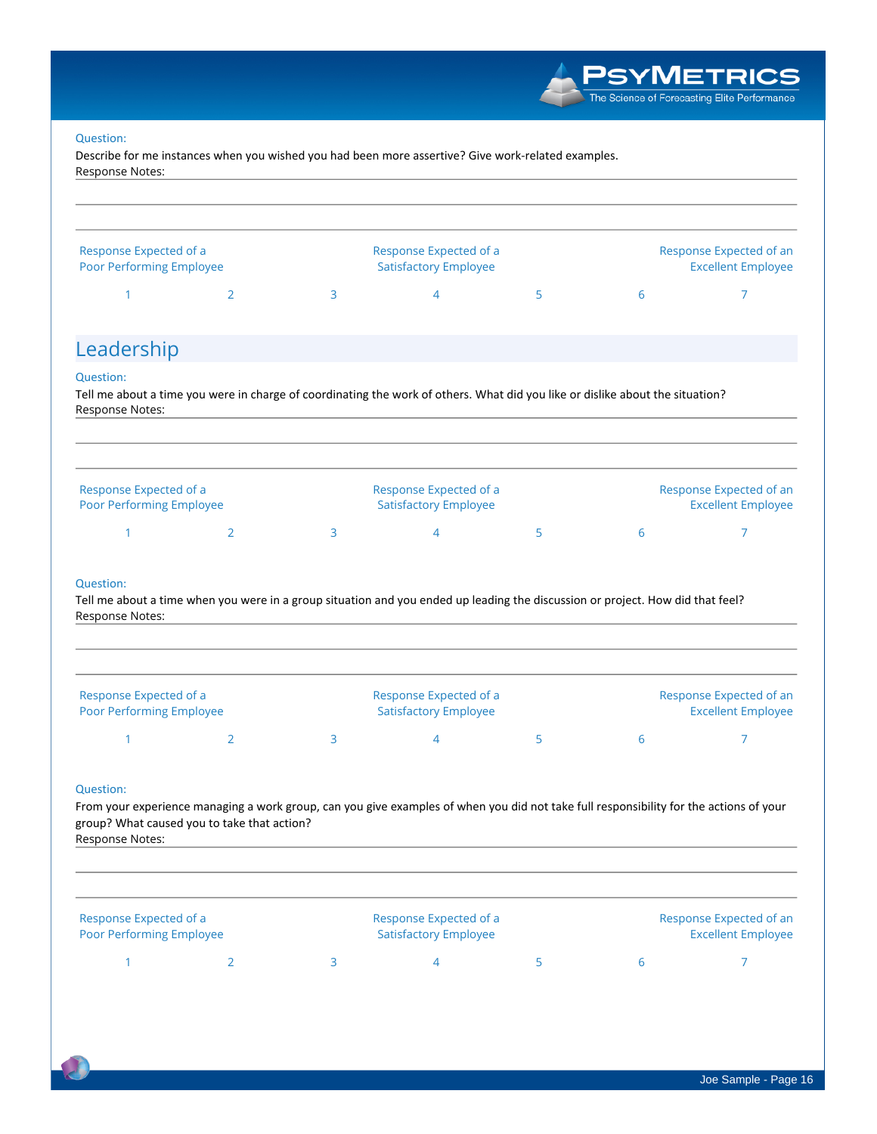

**Describe for me instances when you wished you had been more assertive? Give work-related examples. Response Notes:**

| <b>Poor Performing Employee</b><br>1                      | $\overline{2}$                                            | 3 | <b>Satisfactory Employee</b><br>$\overline{4}$                                                                                         | 5 | 6 | <b>Excellent Employee</b><br>$\overline{7}$          |  |  |
|-----------------------------------------------------------|-----------------------------------------------------------|---|----------------------------------------------------------------------------------------------------------------------------------------|---|---|------------------------------------------------------|--|--|
| Response Expected of a                                    |                                                           |   | Response Expected of a                                                                                                                 |   |   | Response Expected of an                              |  |  |
| Response Notes:                                           |                                                           |   |                                                                                                                                        |   |   |                                                      |  |  |
| group? What caused you to take that action?               |                                                           |   | From your experience managing a work group, can you give examples of when you did not take full responsibility for the actions of your |   |   |                                                      |  |  |
| <b>Question:</b>                                          |                                                           |   |                                                                                                                                        |   |   |                                                      |  |  |
| 1                                                         | 2                                                         | 3 | $\overline{4}$                                                                                                                         | 5 | 6 | 7                                                    |  |  |
| Response Expected of a<br><b>Poor Performing Employee</b> |                                                           |   | Response Expected of a<br><b>Satisfactory Employee</b>                                                                                 |   |   | Response Expected of an<br><b>Excellent Employee</b> |  |  |
| <b>Question:</b><br>Response Notes:                       |                                                           |   | Tell me about a time when you were in a group situation and you ended up leading the discussion or project. How did that feel?         |   |   |                                                      |  |  |
| 1                                                         | $\overline{2}$                                            | 3 | 4                                                                                                                                      | 5 | 6 | 7                                                    |  |  |
| Response Expected of a<br><b>Poor Performing Employee</b> |                                                           |   | Response Expected of a<br><b>Satisfactory Employee</b>                                                                                 |   |   | Response Expected of an<br><b>Excellent Employee</b> |  |  |
| Response Notes:                                           |                                                           |   | Tell me about a time you were in charge of coordinating the work of others. What did you like or dislike about the situation?          |   |   |                                                      |  |  |
| <b>Question:</b>                                          |                                                           |   |                                                                                                                                        |   |   |                                                      |  |  |
| Leadership                                                |                                                           |   |                                                                                                                                        |   |   |                                                      |  |  |
| 1                                                         | 2                                                         | 3 | 4                                                                                                                                      | 5 | 6 | $\overline{7}$                                       |  |  |
|                                                           | Response Expected of a<br><b>Poor Performing Employee</b> |   | Response Expected of a<br><b>Satisfactory Employee</b>                                                                                 |   |   | Response Expected of an<br><b>Excellent Employee</b> |  |  |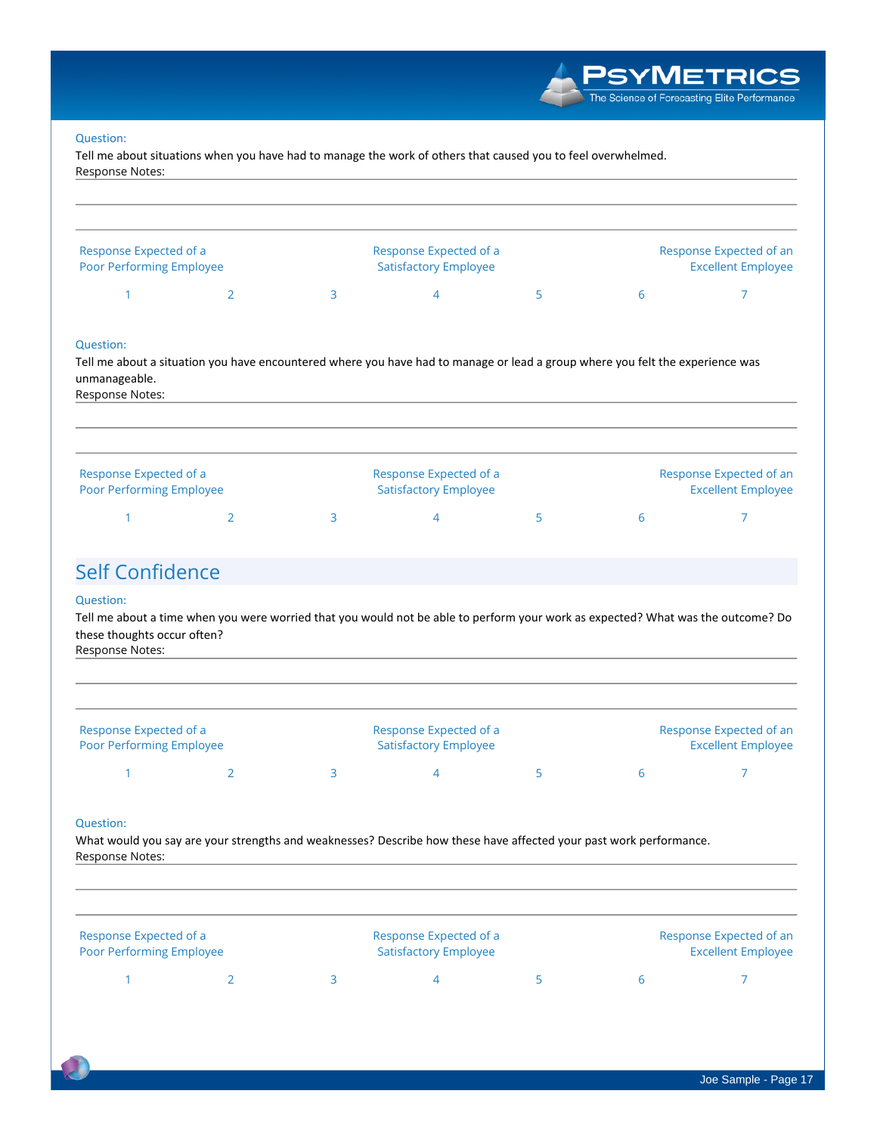Tell me about situations when you have had to manage the work of others that caused you to feel overwhelmed. **Response Notes:**

| 3<br>5<br>6<br>4<br>Question:<br>Tell me about a situation you have encountered where you have had to manage or lead a group where you felt the experience was<br>unmanageable.<br>Response Notes: | Response Expected of an<br><b>Excellent Employee</b> |  | Response Expected of a<br><b>Satisfactory Employee</b> |  |  | Response Expected of a<br>Poor Performing Employee |  |
|----------------------------------------------------------------------------------------------------------------------------------------------------------------------------------------------------|------------------------------------------------------|--|--------------------------------------------------------|--|--|----------------------------------------------------|--|
|                                                                                                                                                                                                    |                                                      |  |                                                        |  |  |                                                    |  |
|                                                                                                                                                                                                    |                                                      |  |                                                        |  |  |                                                    |  |
| Response Expected of a<br>Response Expected of a<br>Response Expected of an<br>Poor Performing Employee<br><b>Satisfactory Employee</b><br><b>Excellent Employee</b>                               |                                                      |  |                                                        |  |  |                                                    |  |

# **Self Confidence**

### **Question:**

Tell me about a time when you were worried that you would not be able to perform your work as expected? What was the outcome? Do **these thoughts occur often?**

| Response Notes:                                           |  |                                                        |  |                                                      |
|-----------------------------------------------------------|--|--------------------------------------------------------|--|------------------------------------------------------|
| Response Expected of a<br><b>Poor Performing Employee</b> |  | Response Expected of a<br><b>Satisfactory Employee</b> |  | Response Expected of an<br><b>Excellent Employee</b> |
|                                                           |  |                                                        |  |                                                      |

#### **Question:**

What would you say are your strengths and weaknesses? Describe how these have affected your past work performance. **Response Notes:**

| Response Expected of a          |  | Response Expected of a       |  |  | Response Expected of an   |  |  |
|---------------------------------|--|------------------------------|--|--|---------------------------|--|--|
| <b>Poor Performing Employee</b> |  | <b>Satisfactory Employee</b> |  |  | <b>Excellent Employee</b> |  |  |
|                                 |  |                              |  |  |                           |  |  |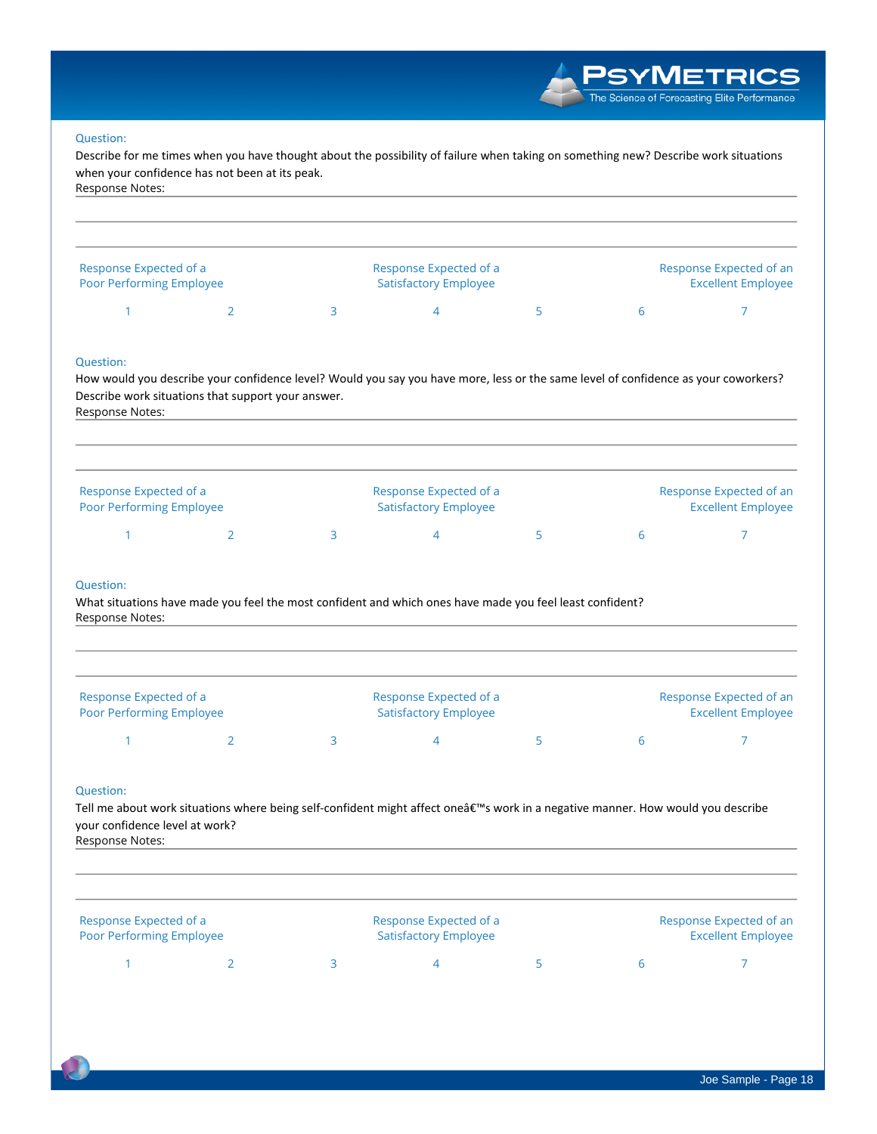**PSYMETRICS** The Science of Forecasting Elite Performance

### **Question:**

Describe for me times when you have thought about the possibility of failure when taking on something new? Describe work situations **when your confidence has not been at its peak. Response Notes:**

| Response Expected of a<br><b>Poor Performing Employee</b> |  | Response Expected of a<br><b>Satisfactory Employee</b> |  | Response Expected of an<br><b>Excellent Employee</b> |
|-----------------------------------------------------------|--|--------------------------------------------------------|--|------------------------------------------------------|
|                                                           |  |                                                        |  |                                                      |

#### **Question:**

How would you describe your confidence level? Would you say you have more, less or the same level of confidence as your coworkers? **Describe work situations that support your answer. Response Notes:**

| Response Expected of a          |  | Response Expected of a       |  |  | Response Expected of an   |  |  |
|---------------------------------|--|------------------------------|--|--|---------------------------|--|--|
| <b>Poor Performing Employee</b> |  | <b>Satisfactory Employee</b> |  |  | <b>Excellent Employee</b> |  |  |
|                                 |  |                              |  |  |                           |  |  |

#### **Question:**

What situations have made you feel the most confident and which ones have made you feel least confident? **Response Notes:**

| Response Expected of a<br><b>Poor Performing Employee</b> |  | Response Expected of a<br><b>Satisfactory Employee</b> |  |  | Response Expected of an<br><b>Excellent Employee</b> |  |  |
|-----------------------------------------------------------|--|--------------------------------------------------------|--|--|------------------------------------------------------|--|--|
|                                                           |  |                                                        |  |  |                                                      |  |  |

### **Question:**

Tell me about work situations where being self-confident might affect oneâ€<sup>™</sup>s work in a negative manner. How would you describe **your confidence level at work? Response Notes:**

| Response Notes:                                    |  |                                                        |   |                                                      |
|----------------------------------------------------|--|--------------------------------------------------------|---|------------------------------------------------------|
| Response Expected of a<br>Poor Performing Employee |  | Response Expected of a<br><b>Satisfactory Employee</b> |   | Response Expected of an<br><b>Excellent Employee</b> |
|                                                    |  |                                                        | b |                                                      |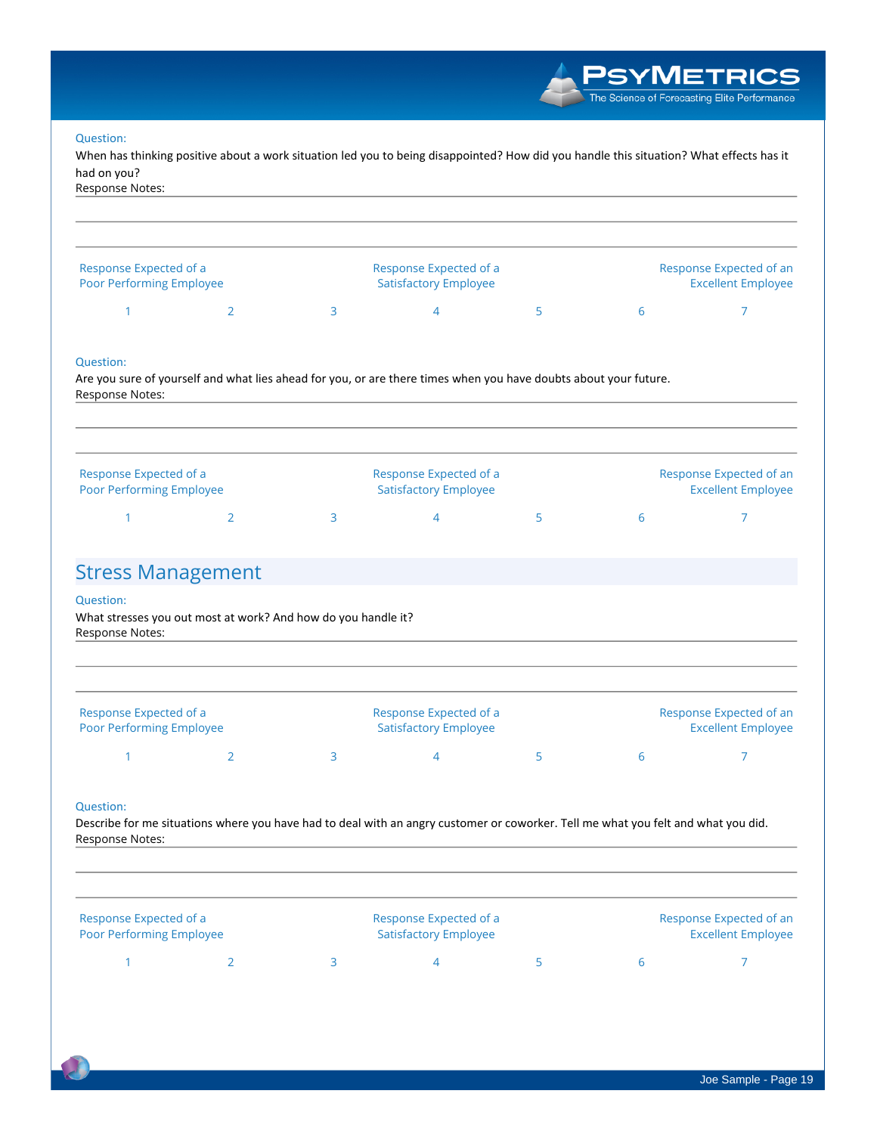When has thinking positive about a work situation led you to being disappointed? How did you handle this situation? What effects has it **had on you?**

**Response Notes:**

| Response Expected of a<br><b>Poor Performing Employee</b> |  | Response Expected of a<br><b>Satisfactory Employee</b> |  |  | Response Expected of an<br><b>Excellent Employee</b> |  |  |
|-----------------------------------------------------------|--|--------------------------------------------------------|--|--|------------------------------------------------------|--|--|
|                                                           |  |                                                        |  |  |                                                      |  |  |

### **Question:**

Are you sure of yourself and what lies ahead for you, or are there times when you have doubts about your future. **Response Notes:**

| Response Expected of a          | Response Expected of a       |  |  | Response Expected of an   |  |  |
|---------------------------------|------------------------------|--|--|---------------------------|--|--|
| <b>Poor Performing Employee</b> | <b>Satisfactory Employee</b> |  |  | <b>Excellent Employee</b> |  |  |
|                                 |                              |  |  |                           |  |  |

## **Stress Management**

#### **Question:**

**What stresses you out most at work? And how do you handle it? Response Notes:**

| Response Expected of a<br>Poor Performing Employee |  | Response Expected of a<br><b>Satisfactory Employee</b> |  |  | Response Expected of an<br><b>Excellent Employee</b> |  |  |
|----------------------------------------------------|--|--------------------------------------------------------|--|--|------------------------------------------------------|--|--|
|                                                    |  |                                                        |  |  |                                                      |  |  |

### **Question:**

Describe for me situations where you have had to deal with an angry customer or coworker. Tell me what you felt and what you did. **Response Notes:**

| Response Expected of a<br><b>Poor Performing Employee</b> |  | Response Expected of a<br><b>Satisfactory Employee</b> |  |  | Response Expected of an<br><b>Excellent Employee</b> |  |  |
|-----------------------------------------------------------|--|--------------------------------------------------------|--|--|------------------------------------------------------|--|--|
|                                                           |  |                                                        |  |  | h                                                    |  |  |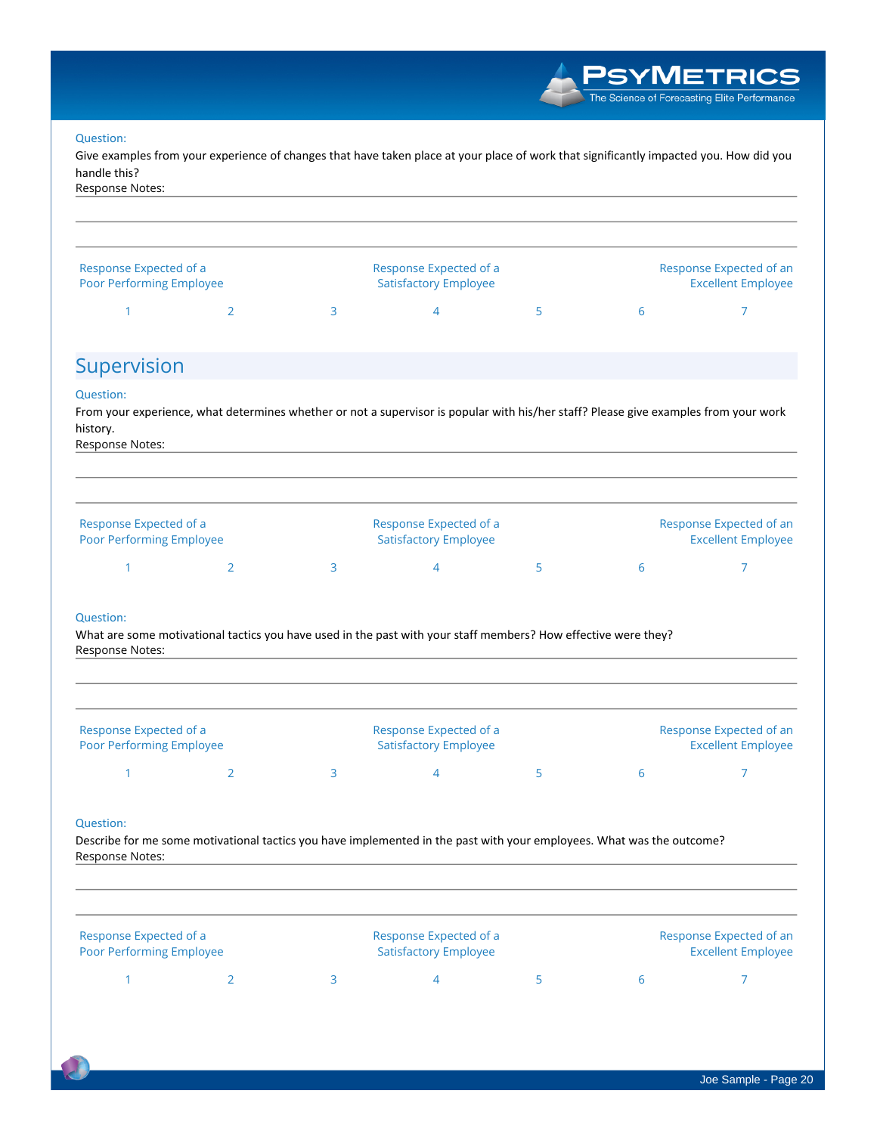Give examples from your experience of changes that have taken place at your place of work that significantly impacted you. How did you **handle this?**

**Response Notes:**

| Response Expected of a          |  | Response Expected of a       |                                   |  | Response Expected of an   |  |  |
|---------------------------------|--|------------------------------|-----------------------------------|--|---------------------------|--|--|
| <b>Poor Performing Employee</b> |  | <b>Satisfactory Employee</b> |                                   |  | <b>Excellent Employee</b> |  |  |
|                                 |  |                              | and the state of the state of the |  |                           |  |  |

### **Supervision**

### **Question:**

From your experience, what determines whether or not a supervisor is popular with his/her staff? Please give examples from your work **history.**

**Response Notes:**

| Response Expected of a          |  | Response Expected of a       |  |  | Response Expected of an   |  |  |
|---------------------------------|--|------------------------------|--|--|---------------------------|--|--|
| <b>Poor Performing Employee</b> |  | <b>Satisfactory Employee</b> |  |  | <b>Excellent Employee</b> |  |  |
|                                 |  |                              |  |  |                           |  |  |

### **Question:**

What are some motivational tactics you have used in the past with your staff members? How effective were they? **Response Notes:**

| Response Expected of a<br>Poor Performing Employee |  | Response Expected of a<br><b>Satisfactory Employee</b> |  | Response Expected of an<br><b>Excellent Employee</b> |
|----------------------------------------------------|--|--------------------------------------------------------|--|------------------------------------------------------|
|                                                    |  |                                                        |  |                                                      |

#### **Question:**

Describe for me some motivational tactics you have implemented in the past with your employees. What was the outcome? **Response Notes:**

| Response Expected of a<br><b>Poor Performing Employee</b> |  | Response Expected of a<br><b>Satisfactory Employee</b> |  |  | Response Expected of an<br><b>Excellent Employee</b> |  |  |
|-----------------------------------------------------------|--|--------------------------------------------------------|--|--|------------------------------------------------------|--|--|
|                                                           |  |                                                        |  |  |                                                      |  |  |